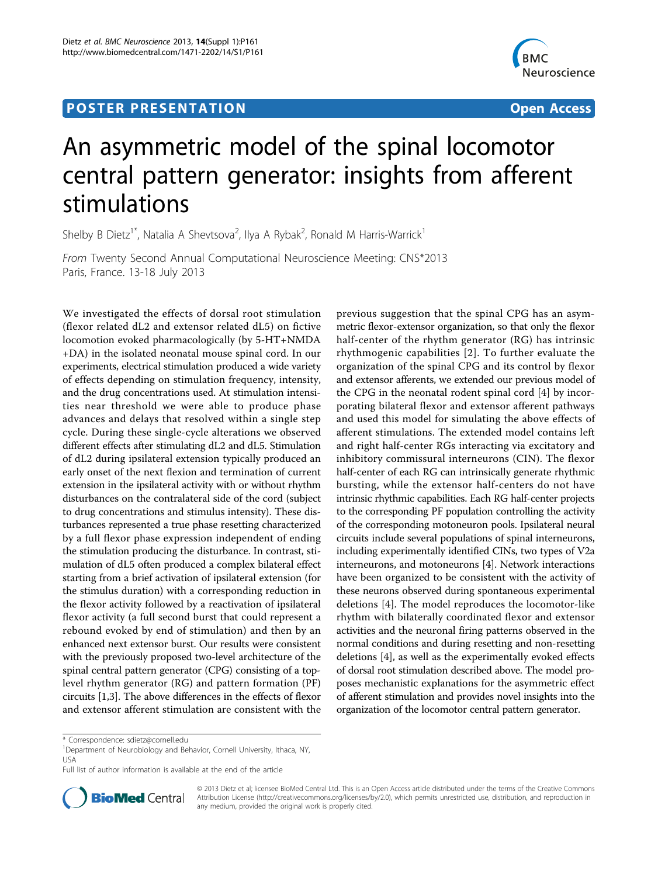## **POSTER PRESENTATION CONSUMING THE SERVICE SERVICE SERVICES**



# An asymmetric model of the spinal locomotor central pattern generator: insights from afferent stimulations

Shelby B Dietz<sup>1\*</sup>, Natalia A Shevtsova<sup>2</sup>, Ilya A Rybak<sup>2</sup>, Ronald M Harris-Warrick<sup>1</sup>

From Twenty Second Annual Computational Neuroscience Meeting: CNS\*2013 Paris, France. 13-18 July 2013

We investigated the effects of dorsal root stimulation (flexor related dL2 and extensor related dL5) on fictive locomotion evoked pharmacologically (by 5-HT+NMDA +DA) in the isolated neonatal mouse spinal cord. In our experiments, electrical stimulation produced a wide variety of effects depending on stimulation frequency, intensity, and the drug concentrations used. At stimulation intensities near threshold we were able to produce phase advances and delays that resolved within a single step cycle. During these single-cycle alterations we observed different effects after stimulating dL2 and dL5. Stimulation of dL2 during ipsilateral extension typically produced an early onset of the next flexion and termination of current extension in the ipsilateral activity with or without rhythm disturbances on the contralateral side of the cord (subject to drug concentrations and stimulus intensity). These disturbances represented a true phase resetting characterized by a full flexor phase expression independent of ending the stimulation producing the disturbance. In contrast, stimulation of dL5 often produced a complex bilateral effect starting from a brief activation of ipsilateral extension (for the stimulus duration) with a corresponding reduction in the flexor activity followed by a reactivation of ipsilateral flexor activity (a full second burst that could represent a rebound evoked by end of stimulation) and then by an enhanced next extensor burst. Our results were consistent with the previously proposed two-level architecture of the spinal central pattern generator (CPG) consisting of a toplevel rhythm generator (RG) and pattern formation (PF) circuits [[1,3\]](#page-1-0). The above differences in the effects of flexor and extensor afferent stimulation are consistent with the

previous suggestion that the spinal CPG has an asymmetric flexor-extensor organization, so that only the flexor half-center of the rhythm generator (RG) has intrinsic rhythmogenic capabilities [[2](#page-1-0)]. To further evaluate the organization of the spinal CPG and its control by flexor and extensor afferents, we extended our previous model of the CPG in the neonatal rodent spinal cord [[4\]](#page-1-0) by incorporating bilateral flexor and extensor afferent pathways and used this model for simulating the above effects of afferent stimulations. The extended model contains left and right half-center RGs interacting via excitatory and inhibitory commissural interneurons (CIN). The flexor half-center of each RG can intrinsically generate rhythmic bursting, while the extensor half-centers do not have intrinsic rhythmic capabilities. Each RG half-center projects to the corresponding PF population controlling the activity of the corresponding motoneuron pools. Ipsilateral neural circuits include several populations of spinal interneurons, including experimentally identified CINs, two types of V2a interneurons, and motoneurons [[4\]](#page-1-0). Network interactions have been organized to be consistent with the activity of these neurons observed during spontaneous experimental deletions [[4\]](#page-1-0). The model reproduces the locomotor-like rhythm with bilaterally coordinated flexor and extensor activities and the neuronal firing patterns observed in the normal conditions and during resetting and non-resetting deletions [\[4](#page-1-0)], as well as the experimentally evoked effects of dorsal root stimulation described above. The model proposes mechanistic explanations for the asymmetric effect of afferent stimulation and provides novel insights into the organization of the locomotor central pattern generator.

Full list of author information is available at the end of the article



© 2013 Dietz et al; licensee BioMed Central Ltd. This is an Open Access article distributed under the terms of the Creative Commons Attribution License [\(http://creativecommons.org/licenses/by/2.0](http://creativecommons.org/licenses/by/2.0)), which permits unrestricted use, distribution, and reproduction in any medium, provided the original work is properly cited.

<sup>\*</sup> Correspondence: [sdietz@cornell.edu](mailto:sdietz@cornell.edu)

<sup>&</sup>lt;sup>1</sup>Department of Neurobiology and Behavior, Cornell University, Ithaca, NY, USA